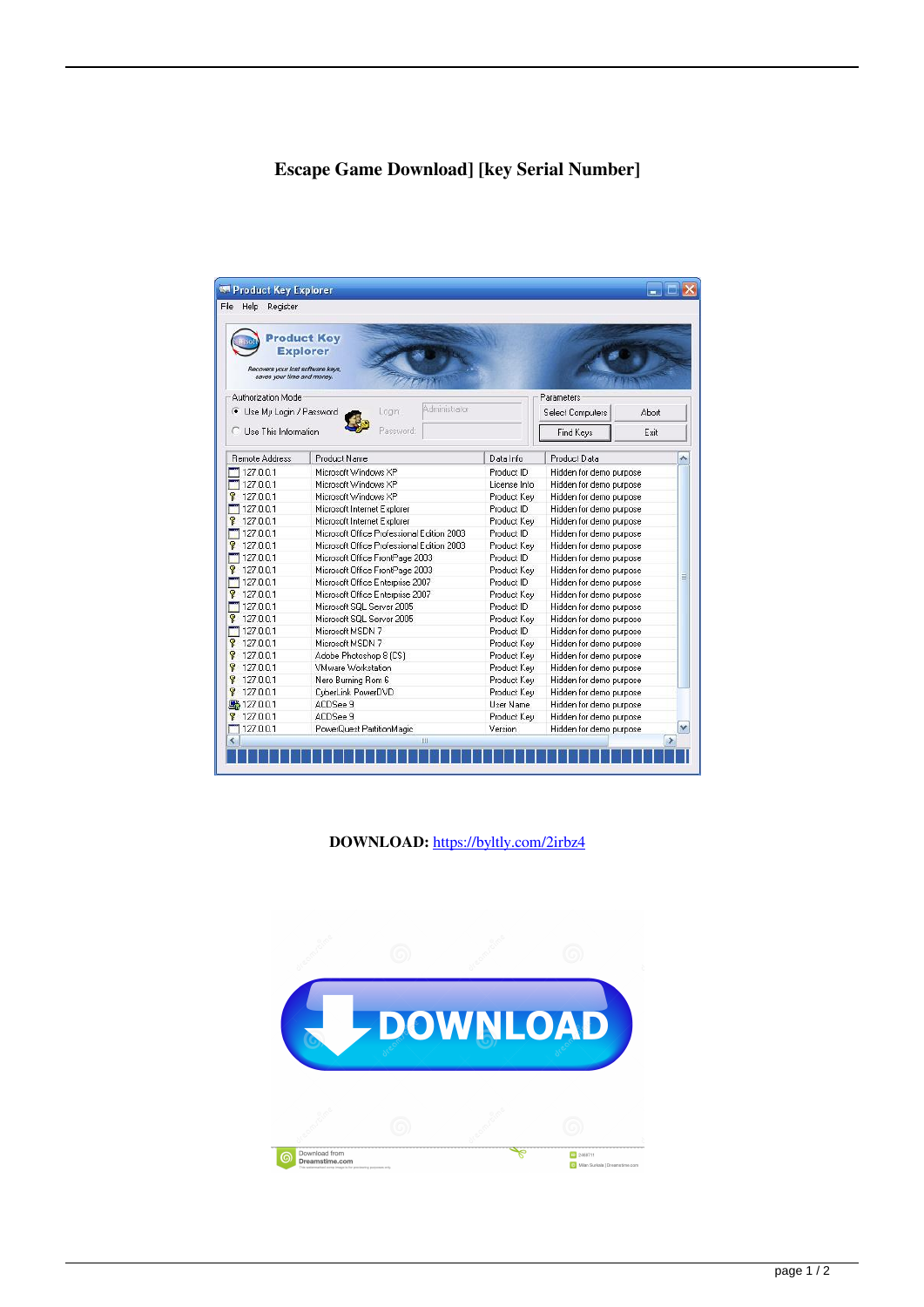## **Escape Game Download] [key Serial Number]**

| Help Register<br>File                                                    |                                            |              |                         |      |       |
|--------------------------------------------------------------------------|--------------------------------------------|--------------|-------------------------|------|-------|
| Recovers your lost software keys,<br>saves your time and money.          | <b>Product Key</b><br><b>Explorer</b>      |              |                         |      |       |
| Authorization Mode<br>Administrator<br>Use My Login / Password<br>Login: |                                            |              | Parameters              |      |       |
|                                                                          |                                            |              | <b>Select Computers</b> |      | Abort |
| Password<br>Use This Information                                         |                                            |              | Find Keys               | Exit |       |
| <b>Remote Address</b>                                                    | Product Name                               | Data Info    | Product Data            |      |       |
| 1127.0.0.1                                                               | Microsoft Windows XP                       | Product ID   | Hidden for demo purpose |      |       |
| 127.0.0.1                                                                | Microsoft Windows XP                       | License Info | Hidden for demo purpose |      |       |
| 127.0.0.1<br>7                                                           | Microsoft Windows XP                       | Product Key  | Hidden for demo purpose |      |       |
| 1127.0.0.1                                                               | Microsoft Internet Explorer                | Product ID   | Hidden for demo purpose |      |       |
| 127.0.0.1                                                                | Microsoft Internet Explorer                | Product Key  | Hidden for demo purpose |      |       |
| 1127.0.0.1                                                               | Microsoft Office Professional Edition 2003 | Product ID   | Hidden for demo purpose |      |       |
| 127.0.0.1                                                                | Microsoft Office Professional Edition 2003 | Product Kev  | Hidden for demo purpose |      |       |
| 127.0.01                                                                 | Microsoft Office FrontPage 2003            | Product ID   | Hidden for demo purpose |      |       |
| ₹ 127.0.0.1                                                              | Microsoft Office FrontPage 2003            | Product Key  | Hidden for demo purpose |      |       |
| 127.0.0.1                                                                | Microsoft Office Enterprise 2007           | Product ID   | Hidden for demo purpose |      | ≣     |
| \$127.0.0.1                                                              | Microsoft Office Enterprise 2007           | Product Key  | Hidden for demo purpose |      |       |
| 127.0.0.1                                                                | Microsoft SQL Server 2005                  | Product ID   | Hidden for demo purpose |      |       |
| 127.0.0.1                                                                | Microsoft SQL Server 2005                  | Product Key  | Hidden for demo purpose |      |       |
| 127.0.0.1                                                                | Microsoft MSDN 7                           | Product ID   | Hidden for demo purpose |      |       |
| P.<br>127.0.0.1                                                          | Microsoft MSDN 7                           | Product Key  | Hidden for demo purpose |      |       |
| 127.0.0.1<br>P.                                                          | Adobe Photoshop 8 (CS)                     | Product Key  | Hidden for demo purpose |      |       |
| 127.0.0.1<br>R                                                           | VMware Workstation                         | Product Key  | Hidden for demo purpose |      |       |
| Ÿ<br>127.0.0.1                                                           | Nero Burning Rom 6                         | Product Key  | Hidden for demo purpose |      |       |
| 127.0.0.1<br>P                                                           | CyberLink PowerDVD                         | Product Key  | Hidden for demo purpose |      |       |
| 马 127.0.0.1                                                              | ACDSee 9                                   | User Name    | Hidden for demo purpose |      |       |
| 127.0.0.1                                                                | ACDSee 9                                   | Product Key  | Hidden for demo purpose |      |       |
| 127.0.01                                                                 | PowerQuest PartitionMagic                  | Version      | Hidden for demo purpose |      | v     |
| <                                                                        | Ш                                          |              |                         |      |       |

**DOWNLOAD:** <https://byltly.com/2irbz4>